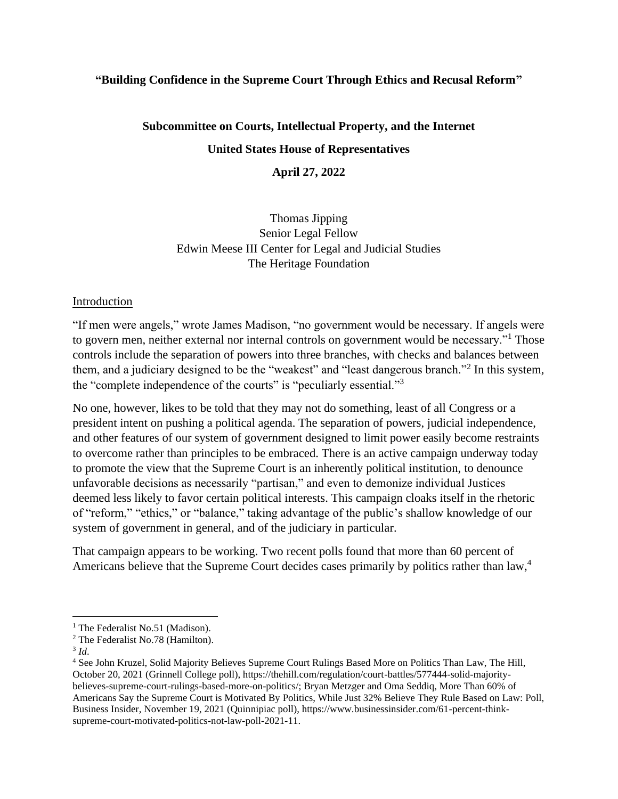## **"Building Confidence in the Supreme Court Through Ethics and Recusal Reform"**

# **Subcommittee on Courts, Intellectual Property, and the Internet United States House of Representatives**

**April 27, 2022**

## Thomas Jipping Senior Legal Fellow Edwin Meese III Center for Legal and Judicial Studies The Heritage Foundation

#### **Introduction**

"If men were angels," wrote James Madison, "no government would be necessary. If angels were to govern men, neither external nor internal controls on government would be necessary."<sup>1</sup> Those controls include the separation of powers into three branches, with checks and balances between them, and a judiciary designed to be the "weakest" and "least dangerous branch."<sup>2</sup> In this system, the "complete independence of the courts" is "peculiarly essential."<sup>3</sup>

No one, however, likes to be told that they may not do something, least of all Congress or a president intent on pushing a political agenda. The separation of powers, judicial independence, and other features of our system of government designed to limit power easily become restraints to overcome rather than principles to be embraced. There is an active campaign underway today to promote the view that the Supreme Court is an inherently political institution, to denounce unfavorable decisions as necessarily "partisan," and even to demonize individual Justices deemed less likely to favor certain political interests. This campaign cloaks itself in the rhetoric of "reform," "ethics," or "balance," taking advantage of the public's shallow knowledge of our system of government in general, and of the judiciary in particular.

That campaign appears to be working. Two recent polls found that more than 60 percent of Americans believe that the Supreme Court decides cases primarily by politics rather than law,<sup>4</sup>

<sup>&</sup>lt;sup>1</sup> The Federalist No.51 (Madison).

<sup>2</sup> The Federalist No.78 (Hamilton).

<sup>3</sup> *Id*.

<sup>4</sup> See John Kruzel, Solid Majority Believes Supreme Court Rulings Based More on Politics Than Law, The Hill, October 20, 2021 (Grinnell College poll), https://thehill.com/regulation/court-battles/577444-solid-majoritybelieves-supreme-court-rulings-based-more-on-politics/; Bryan Metzger and Oma Seddiq, More Than 60% of Americans Say the Supreme Court is Motivated By Politics, While Just 32% Believe They Rule Based on Law: Poll, Business Insider, November 19, 2021 (Quinnipiac poll), https://www.businessinsider.com/61-percent-thinksupreme-court-motivated-politics-not-law-poll-2021-11.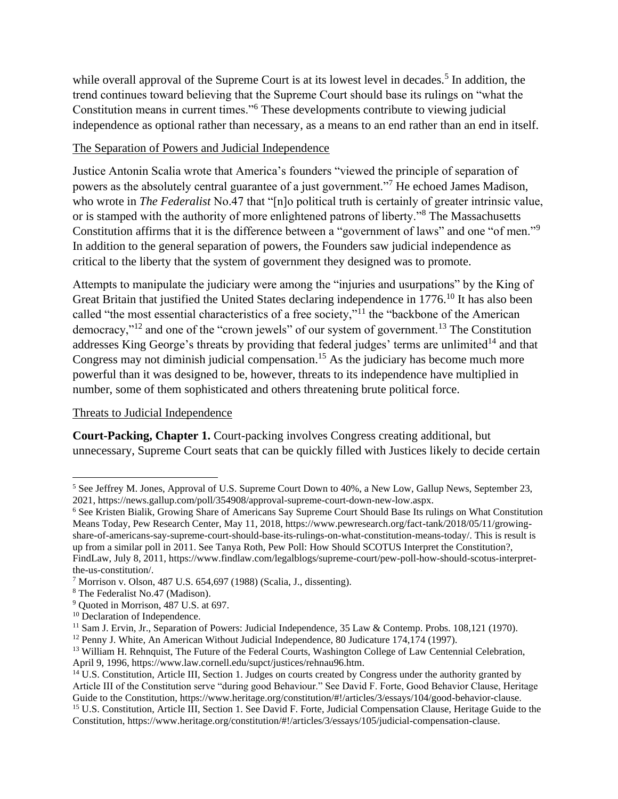while overall approval of the Supreme Court is at its lowest level in decades.<sup>5</sup> In addition, the trend continues toward believing that the Supreme Court should base its rulings on "what the Constitution means in current times."<sup>6</sup> These developments contribute to viewing judicial independence as optional rather than necessary, as a means to an end rather than an end in itself.

## The Separation of Powers and Judicial Independence

Justice Antonin Scalia wrote that America's founders "viewed the principle of separation of powers as the absolutely central guarantee of a just government."<sup>7</sup> He echoed James Madison, who wrote in *The Federalist* No.47 that "[n]o political truth is certainly of greater intrinsic value, or is stamped with the authority of more enlightened patrons of liberty."<sup>8</sup> The Massachusetts Constitution affirms that it is the difference between a "government of laws" and one "of men."<sup>9</sup> In addition to the general separation of powers, the Founders saw judicial independence as critical to the liberty that the system of government they designed was to promote.

Attempts to manipulate the judiciary were among the "injuries and usurpations" by the King of Great Britain that justified the United States declaring independence in 1776.<sup>10</sup> It has also been called "the most essential characteristics of a free society,"<sup>11</sup> the "backbone of the American democracy,"<sup>12</sup> and one of the "crown jewels" of our system of government.<sup>13</sup> The Constitution addresses King George's threats by providing that federal judges' terms are unlimited<sup>14</sup> and that Congress may not diminish judicial compensation.<sup>15</sup> As the judiciary has become much more powerful than it was designed to be, however, threats to its independence have multiplied in number, some of them sophisticated and others threatening brute political force.

## Threats to Judicial Independence

**Court-Packing, Chapter 1.** Court-packing involves Congress creating additional, but unnecessary, Supreme Court seats that can be quickly filled with Justices likely to decide certain

<sup>5</sup> See Jeffrey M. Jones, Approval of U.S. Supreme Court Down to 40%, a New Low, Gallup News, September 23, 2021, https://news.gallup.com/poll/354908/approval-supreme-court-down-new-low.aspx.

<sup>6</sup> See Kristen Bialik, Growing Share of Americans Say Supreme Court Should Base Its rulings on What Constitution Means Today, Pew Research Center, May 11, 2018, https://www.pewresearch.org/fact-tank/2018/05/11/growingshare-of-americans-say-supreme-court-should-base-its-rulings-on-what-constitution-means-today/. This is result is up from a similar poll in 2011. See Tanya Roth, Pew Poll: How Should SCOTUS Interpret the Constitution?, FindLaw, July 8, 2011, https://www.findlaw.com/legalblogs/supreme-court/pew-poll-how-should-scotus-interpretthe-us-constitution/.

<sup>7</sup> Morrison v. Olson, 487 U.S. 654,697 (1988) (Scalia, J., dissenting).

<sup>8</sup> The Federalist No.47 (Madison).

<sup>9</sup> Quoted in Morrison, 487 U.S. at 697.

<sup>&</sup>lt;sup>10</sup> Declaration of Independence.

<sup>&</sup>lt;sup>11</sup> Sam J. Ervin, Jr., Separation of Powers: Judicial Independence, 35 Law & Contemp. Probs. 108,121 (1970).

 $12$  Penny J. White, An American Without Judicial Independence, 80 Judicature 174,174 (1997).

<sup>&</sup>lt;sup>13</sup> William H. Rehnquist, The Future of the Federal Courts, Washington College of Law Centennial Celebration, April 9, 1996, https://www.law.cornell.edu/supct/justices/rehnau96.htm.

<sup>&</sup>lt;sup>14</sup> U.S. Constitution, Article III, Section 1. Judges on courts created by Congress under the authority granted by Article III of the Constitution serve "during good Behaviour." See David F. Forte, Good Behavior Clause, Heritage Guide to the Constitution, https://www.heritage.org/constitution/#!/articles/3/essays/104/good-behavior-clause. <sup>15</sup> U.S. Constitution, Article III, Section 1. See David F. Forte, Judicial Compensation Clause, Heritage Guide to the Constitution, https://www.heritage.org/constitution/#!/articles/3/essays/105/judicial-compensation-clause.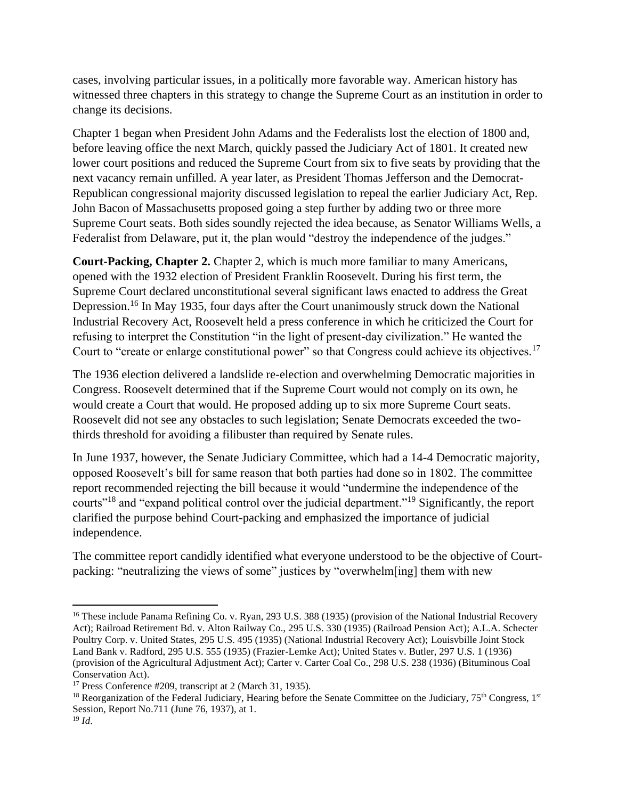cases, involving particular issues, in a politically more favorable way. American history has witnessed three chapters in this strategy to change the Supreme Court as an institution in order to change its decisions.

Chapter 1 began when President John Adams and the Federalists lost the election of 1800 and, before leaving office the next March, quickly passed the Judiciary Act of 1801. It created new lower court positions and reduced the Supreme Court from six to five seats by providing that the next vacancy remain unfilled. A year later, as President Thomas Jefferson and the Democrat-Republican congressional majority discussed legislation to repeal the earlier Judiciary Act, Rep. John Bacon of Massachusetts proposed going a step further by adding two or three more Supreme Court seats. Both sides soundly rejected the idea because, as Senator Williams Wells, a Federalist from Delaware, put it, the plan would "destroy the independence of the judges."

**Court-Packing, Chapter 2.** Chapter 2, which is much more familiar to many Americans, opened with the 1932 election of President Franklin Roosevelt. During his first term, the Supreme Court declared unconstitutional several significant laws enacted to address the Great Depression.<sup>16</sup> In May 1935, four days after the Court unanimously struck down the National Industrial Recovery Act, Roosevelt held a press conference in which he criticized the Court for refusing to interpret the Constitution "in the light of present-day civilization." He wanted the Court to "create or enlarge constitutional power" so that Congress could achieve its objectives.<sup>17</sup>

The 1936 election delivered a landslide re-election and overwhelming Democratic majorities in Congress. Roosevelt determined that if the Supreme Court would not comply on its own, he would create a Court that would. He proposed adding up to six more Supreme Court seats. Roosevelt did not see any obstacles to such legislation; Senate Democrats exceeded the twothirds threshold for avoiding a filibuster than required by Senate rules.

In June 1937, however, the Senate Judiciary Committee, which had a 14-4 Democratic majority, opposed Roosevelt's bill for same reason that both parties had done so in 1802. The committee report recommended rejecting the bill because it would "undermine the independence of the courts"<sup>18</sup> and "expand political control over the judicial department."<sup>19</sup> Significantly, the report clarified the purpose behind Court-packing and emphasized the importance of judicial independence.

The committee report candidly identified what everyone understood to be the objective of Courtpacking: "neutralizing the views of some" justices by "overwhelm[ing] them with new

<sup>&</sup>lt;sup>16</sup> These include Panama Refining Co. v. Ryan, 293 U.S. 388 (1935) (provision of the National Industrial Recovery Act); Railroad Retirement Bd. v. Alton Railway Co., 295 U.S. 330 (1935) (Railroad Pension Act); A.L.A. Schecter Poultry Corp. v. United States, 295 U.S. 495 (1935) (National Industrial Recovery Act); Louisvbille Joint Stock Land Bank v. Radford, 295 U.S. 555 (1935) (Frazier-Lemke Act); United States v. Butler, 297 U.S. 1 (1936) (provision of the Agricultural Adjustment Act); Carter v. Carter Coal Co., 298 U.S. 238 (1936) (Bituminous Coal Conservation Act).

<sup>17</sup> Press Conference #209, transcript at 2 (March 31, 1935).

<sup>&</sup>lt;sup>18</sup> Reorganization of the Federal Judiciary, Hearing before the Senate Committee on the Judiciary,  $75<sup>th</sup>$  Congress,  $1<sup>st</sup>$ Session, Report No.711 (June 76, 1937), at 1.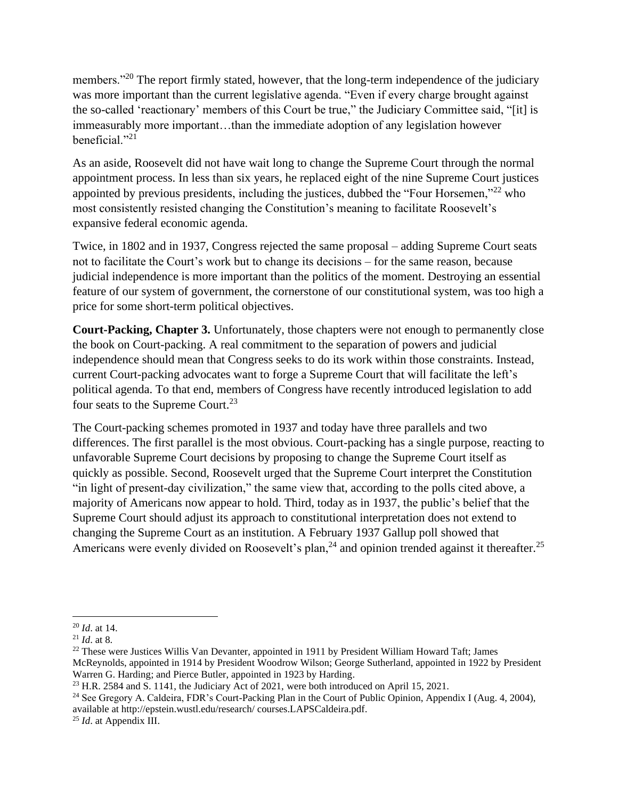members."<sup>20</sup> The report firmly stated, however, that the long-term independence of the judiciary was more important than the current legislative agenda. "Even if every charge brought against the so-called 'reactionary' members of this Court be true," the Judiciary Committee said, "[it] is immeasurably more important…than the immediate adoption of any legislation however beneficial." $^{21}$ 

As an aside, Roosevelt did not have wait long to change the Supreme Court through the normal appointment process. In less than six years, he replaced eight of the nine Supreme Court justices appointed by previous presidents, including the justices, dubbed the "Four Horsemen,"<sup>22</sup> who most consistently resisted changing the Constitution's meaning to facilitate Roosevelt's expansive federal economic agenda.

Twice, in 1802 and in 1937, Congress rejected the same proposal – adding Supreme Court seats not to facilitate the Court's work but to change its decisions – for the same reason, because judicial independence is more important than the politics of the moment. Destroying an essential feature of our system of government, the cornerstone of our constitutional system, was too high a price for some short-term political objectives.

**Court-Packing, Chapter 3.** Unfortunately, those chapters were not enough to permanently close the book on Court-packing. A real commitment to the separation of powers and judicial independence should mean that Congress seeks to do its work within those constraints. Instead, current Court-packing advocates want to forge a Supreme Court that will facilitate the left's political agenda. To that end, members of Congress have recently introduced legislation to add four seats to the Supreme Court.<sup>23</sup>

The Court-packing schemes promoted in 1937 and today have three parallels and two differences. The first parallel is the most obvious. Court-packing has a single purpose, reacting to unfavorable Supreme Court decisions by proposing to change the Supreme Court itself as quickly as possible. Second, Roosevelt urged that the Supreme Court interpret the Constitution "in light of present-day civilization," the same view that, according to the polls cited above, a majority of Americans now appear to hold. Third, today as in 1937, the public's belief that the Supreme Court should adjust its approach to constitutional interpretation does not extend to changing the Supreme Court as an institution. A February 1937 Gallup poll showed that Americans were evenly divided on Roosevelt's plan,  $^{24}$  and opinion trended against it thereafter.  $^{25}$ 

<sup>20</sup> *Id*. at 14.

<sup>21</sup> *Id*. at 8.

 $22$  These were Justices Willis Van Devanter, appointed in 1911 by President William Howard Taft; James McReynolds, appointed in 1914 by President Woodrow Wilson; George Sutherland, appointed in 1922 by President Warren G. Harding; and Pierce Butler, appointed in 1923 by Harding.

 $23$  H.R. 2584 and S. 1141, the Judiciary Act of 2021, were both introduced on April 15, 2021.

<sup>&</sup>lt;sup>24</sup> See Gregory A. Caldeira, FDR's Court-Packing Plan in the Court of Public Opinion, Appendix I (Aug. 4, 2004), available at http://epstein.wustl.edu/research/ courses.LAPSCaldeira.pdf.

<sup>25</sup> *Id*. at Appendix III.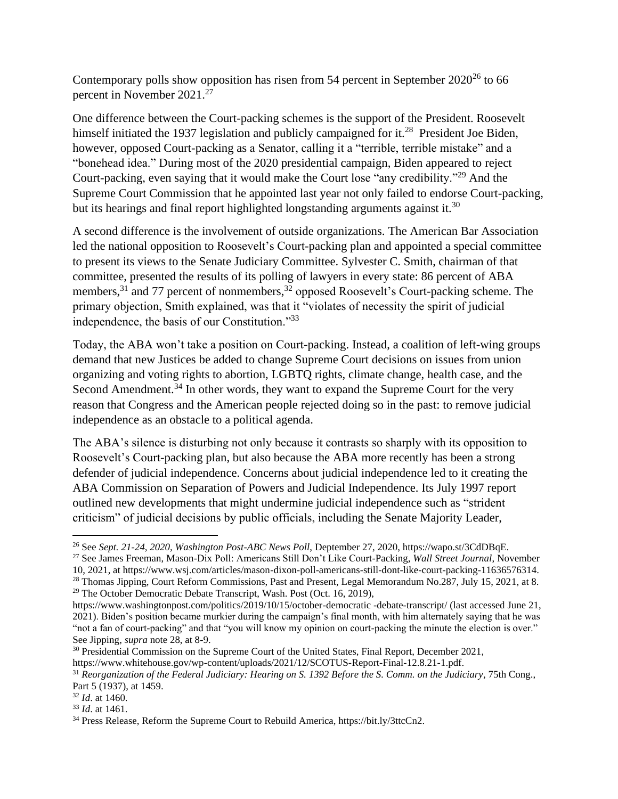Contemporary polls show opposition has risen from 54 percent in September  $2020^{26}$  to 66 percent in November 2021.<sup>27</sup>

One difference between the Court-packing schemes is the support of the President. Roosevelt himself initiated the 1937 legislation and publicly campaigned for it.<sup>28</sup> President Joe Biden, however, opposed Court-packing as a Senator, calling it a "terrible, terrible mistake" and a "bonehead idea." During most of the 2020 presidential campaign, Biden appeared to reject Court-packing, even saying that it would make the Court lose "any credibility."<sup>29</sup> And the Supreme Court Commission that he appointed last year not only failed to endorse Court-packing, but its hearings and final report highlighted longstanding arguments against it.<sup>30</sup>

A second difference is the involvement of outside organizations. The American Bar Association led the national opposition to Roosevelt's Court-packing plan and appointed a special committee to present its views to the Senate Judiciary Committee. Sylvester C. Smith, chairman of that committee, presented the results of its polling of lawyers in every state: 86 percent of ABA members,<sup>31</sup> and 77 percent of nonmembers,<sup>32</sup> opposed Roosevelt's Court-packing scheme. The primary objection, Smith explained, was that it "violates of necessity the spirit of judicial independence, the basis of our Constitution."<sup>33</sup>

Today, the ABA won't take a position on Court-packing. Instead, a coalition of left-wing groups demand that new Justices be added to change Supreme Court decisions on issues from union organizing and voting rights to abortion, LGBTQ rights, climate change, health case, and the Second Amendment.<sup>34</sup> In other words, they want to expand the Supreme Court for the very reason that Congress and the American people rejected doing so in the past: to remove judicial independence as an obstacle to a political agenda.

The ABA's silence is disturbing not only because it contrasts so sharply with its opposition to Roosevelt's Court-packing plan, but also because the ABA more recently has been a strong defender of judicial independence. Concerns about judicial independence led to it creating the ABA Commission on Separation of Powers and Judicial Independence. Its July 1997 report outlined new developments that might undermine judicial independence such as "strident criticism" of judicial decisions by public officials, including the Senate Majority Leader,

<sup>26</sup> See *Sept. 21-24, 2020, Washington Post-ABC News Poll*, Deptember 27, 2020, https://wapo.st/3CdDBqE.

<sup>27</sup> See James Freeman, Mason-Dix Poll: Americans Still Don't Like Court-Packing, *Wall Street Journal*, November 10, 2021, at https://www.wsj.com/articles/mason-dixon-poll-americans-still-dont-like-court-packing-11636576314. <sup>28</sup> Thomas Jipping, Court Reform Commissions, Past and Present, Legal Memorandum No.287, July 15, 2021, at 8.

<sup>&</sup>lt;sup>29</sup> The October Democratic Debate Transcript, Wash. Post (Oct. 16, 2019),

https://www.washingtonpost.com/politics/2019/10/15/october-democratic -debate-transcript/ (last accessed June 21, 2021). Biden's position became murkier during the campaign's final month, with him alternately saying that he was "not a fan of court-packing" and that "you will know my opinion on court-packing the minute the election is over." See Jipping, *supra* note 28, at 8-9.

<sup>&</sup>lt;sup>30</sup> Presidential Commission on the Supreme Court of the United States, Final Report, December 2021, https://www.whitehouse.gov/wp-content/uploads/2021/12/SCOTUS-Report-Final-12.8.21-1.pdf.

<sup>31</sup> *Reorganization of the Federal Judiciary: Hearing on S. 1392 Before the S. Comm. on the Judiciary*, 75th Cong., Part 5 (1937), at 1459.

<sup>32</sup> *Id*. at 1460.

<sup>33</sup> *Id*. at 1461.

<sup>34</sup> Press Release, Reform the Supreme Court to Rebuild America, https://bit.ly/3ttcCn2.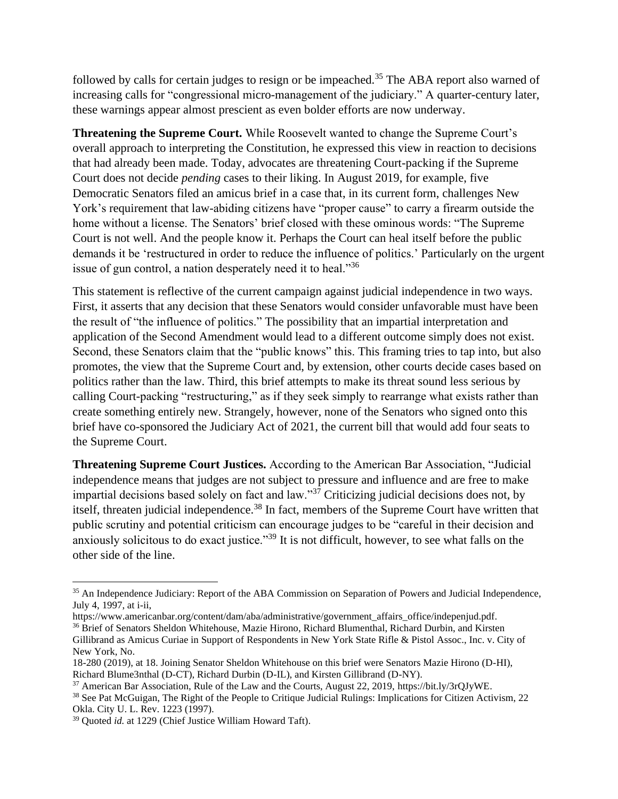followed by calls for certain judges to resign or be impeached.<sup>35</sup> The ABA report also warned of increasing calls for "congressional micro-management of the judiciary." A quarter-century later, these warnings appear almost prescient as even bolder efforts are now underway.

**Threatening the Supreme Court.** While Roosevelt wanted to change the Supreme Court's overall approach to interpreting the Constitution, he expressed this view in reaction to decisions that had already been made. Today, advocates are threatening Court-packing if the Supreme Court does not decide *pending* cases to their liking. In August 2019, for example, five Democratic Senators filed an amicus brief in a case that, in its current form, challenges New York's requirement that law-abiding citizens have "proper cause" to carry a firearm outside the home without a license. The Senators' brief closed with these ominous words: "The Supreme Court is not well. And the people know it. Perhaps the Court can heal itself before the public demands it be 'restructured in order to reduce the influence of politics.' Particularly on the urgent issue of gun control, a nation desperately need it to heal."<sup>36</sup>

This statement is reflective of the current campaign against judicial independence in two ways. First, it asserts that any decision that these Senators would consider unfavorable must have been the result of "the influence of politics." The possibility that an impartial interpretation and application of the Second Amendment would lead to a different outcome simply does not exist. Second, these Senators claim that the "public knows" this. This framing tries to tap into, but also promotes, the view that the Supreme Court and, by extension, other courts decide cases based on politics rather than the law. Third, this brief attempts to make its threat sound less serious by calling Court-packing "restructuring," as if they seek simply to rearrange what exists rather than create something entirely new. Strangely, however, none of the Senators who signed onto this brief have co-sponsored the Judiciary Act of 2021, the current bill that would add four seats to the Supreme Court.

**Threatening Supreme Court Justices.** According to the American Bar Association, "Judicial independence means that judges are not subject to pressure and influence and are free to make impartial decisions based solely on fact and law."<sup>37</sup> Criticizing judicial decisions does not, by itself, threaten judicial independence.<sup>38</sup> In fact, members of the Supreme Court have written that public scrutiny and potential criticism can encourage judges to be "careful in their decision and anxiously solicitous to do exact justice."<sup>39</sup> It is not difficult, however, to see what falls on the other side of the line.

<sup>35</sup> An Independence Judiciary: Report of the ABA Commission on Separation of Powers and Judicial Independence, July 4, 1997, at i-ii,

https://www.americanbar.org/content/dam/aba/administrative/government\_affairs\_office/indepenjud.pdf. <sup>36</sup> Brief of Senators Sheldon Whitehouse, Mazie Hirono, Richard Blumenthal, Richard Durbin, and Kirsten Gillibrand as Amicus Curiae in Support of Respondents in New York State Rifle & Pistol Assoc., Inc. v. City of New York, No.

<sup>18-280 (2019),</sup> at 18. Joining Senator Sheldon Whitehouse on this brief were Senators Mazie Hirono (D-HI), Richard Blume3nthal (D-CT), Richard Durbin (D-IL), and Kirsten Gillibrand (D-NY).

<sup>37</sup> American Bar Association, Rule of the Law and the Courts, August 22, 2019, https://bit.ly/3rQJyWE.

<sup>&</sup>lt;sup>38</sup> See Pat McGuigan, The Right of the People to Critique Judicial Rulings: Implications for Citizen Activism, 22 Okla. City U. L. Rev. 1223 (1997).

<sup>39</sup> Quoted *id.* at 1229 (Chief Justice William Howard Taft).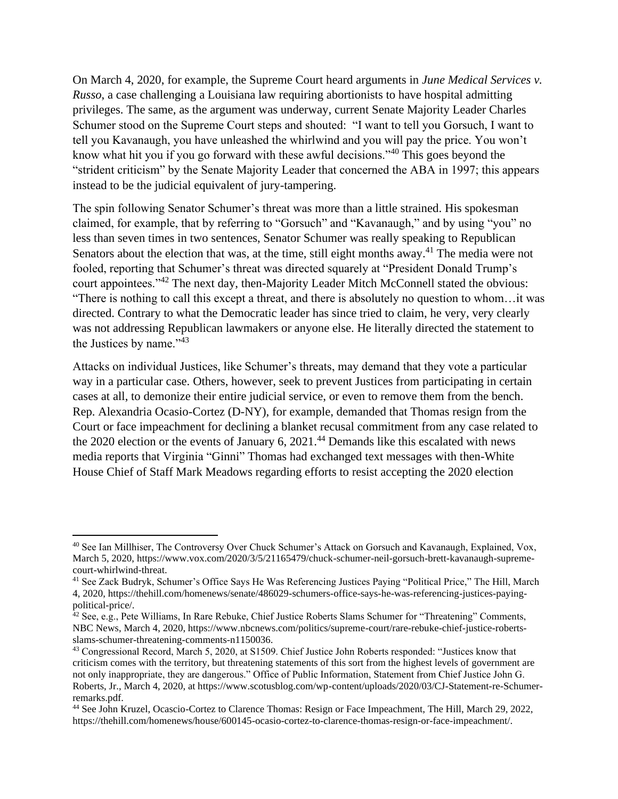On March 4, 2020, for example, the Supreme Court heard arguments in *June Medical Services v. Russo*, a case challenging a Louisiana law requiring abortionists to have hospital admitting privileges. The same, as the argument was underway, current Senate Majority Leader Charles Schumer stood on the Supreme Court steps and shouted: "I want to tell you Gorsuch, I want to tell you Kavanaugh, you have unleashed the whirlwind and you will pay the price. You won't know what hit you if you go forward with these awful decisions."<sup>40</sup> This goes beyond the "strident criticism" by the Senate Majority Leader that concerned the ABA in 1997; this appears instead to be the judicial equivalent of jury-tampering.

The spin following Senator Schumer's threat was more than a little strained. His spokesman claimed, for example, that by referring to "Gorsuch" and "Kavanaugh," and by using "you" no less than seven times in two sentences, Senator Schumer was really speaking to Republican Senators about the election that was, at the time, still eight months away.<sup>41</sup> The media were not fooled, reporting that Schumer's threat was directed squarely at "President Donald Trump's court appointees."<sup>42</sup> The next day, then-Majority Leader Mitch McConnell stated the obvious: "There is nothing to call this except a threat, and there is absolutely no question to whom…it was directed. Contrary to what the Democratic leader has since tried to claim, he very, very clearly was not addressing Republican lawmakers or anyone else. He literally directed the statement to the Justices by name."<sup>43</sup>

Attacks on individual Justices, like Schumer's threats, may demand that they vote a particular way in a particular case. Others, however, seek to prevent Justices from participating in certain cases at all, to demonize their entire judicial service, or even to remove them from the bench. Rep. Alexandria Ocasio-Cortez (D-NY), for example, demanded that Thomas resign from the Court or face impeachment for declining a blanket recusal commitment from any case related to the 2020 election or the events of January  $6, 2021$ .<sup>44</sup> Demands like this escalated with news media reports that Virginia "Ginni" Thomas had exchanged text messages with then-White House Chief of Staff Mark Meadows regarding efforts to resist accepting the 2020 election

<sup>40</sup> See Ian Millhiser, The Controversy Over Chuck Schumer's Attack on Gorsuch and Kavanaugh, Explained, Vox, March 5, 2020, https://www.vox.com/2020/3/5/21165479/chuck-schumer-neil-gorsuch-brett-kavanaugh-supremecourt-whirlwind-threat.

<sup>&</sup>lt;sup>41</sup> See Zack Budryk, Schumer's Office Says He Was Referencing Justices Paying "Political Price," The Hill, March 4, 2020, https://thehill.com/homenews/senate/486029-schumers-office-says-he-was-referencing-justices-payingpolitical-price/.

 $42$  See, e.g., Pete Williams, In Rare Rebuke, Chief Justice Roberts Slams Schumer for "Threatening" Comments, NBC News, March 4, 2020, https://www.nbcnews.com/politics/supreme-court/rare-rebuke-chief-justice-robertsslams-schumer-threatening-comments-n1150036.

<sup>43</sup> Congressional Record, March 5, 2020, at S1509. Chief Justice John Roberts responded: "Justices know that criticism comes with the territory, but threatening statements of this sort from the highest levels of government are not only inappropriate, they are dangerous." Office of Public Information, Statement from Chief Justice John G. Roberts, Jr., March 4, 2020, at https://www.scotusblog.com/wp-content/uploads/2020/03/CJ-Statement-re-Schumerremarks.pdf.

<sup>44</sup> See John Kruzel, Ocascio-Cortez to Clarence Thomas: Resign or Face Impeachment, The Hill, March 29, 2022, https://thehill.com/homenews/house/600145-ocasio-cortez-to-clarence-thomas-resign-or-face-impeachment/.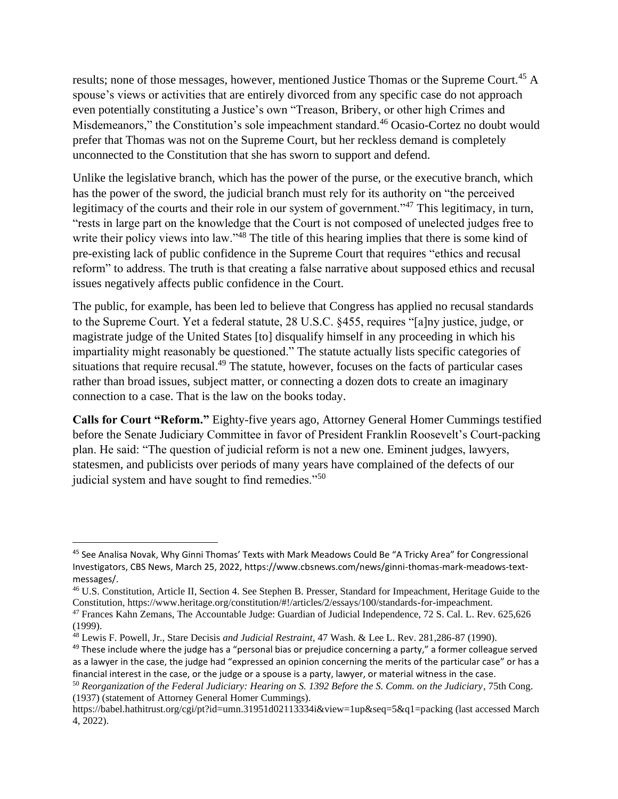results; none of those messages, however, mentioned Justice Thomas or the Supreme Court.<sup>45</sup> A spouse's views or activities that are entirely divorced from any specific case do not approach even potentially constituting a Justice's own "Treason, Bribery, or other high Crimes and Misdemeanors," the Constitution's sole impeachment standard.<sup>46</sup> Ocasio-Cortez no doubt would prefer that Thomas was not on the Supreme Court, but her reckless demand is completely unconnected to the Constitution that she has sworn to support and defend.

Unlike the legislative branch, which has the power of the purse, or the executive branch, which has the power of the sword, the judicial branch must rely for its authority on "the perceived legitimacy of the courts and their role in our system of government."<sup>47</sup> This legitimacy, in turn, "rests in large part on the knowledge that the Court is not composed of unelected judges free to write their policy views into law."<sup>48</sup> The title of this hearing implies that there is some kind of pre-existing lack of public confidence in the Supreme Court that requires "ethics and recusal reform" to address. The truth is that creating a false narrative about supposed ethics and recusal issues negatively affects public confidence in the Court.

The public, for example, has been led to believe that Congress has applied no recusal standards to the Supreme Court. Yet a federal statute, 28 U.S.C. §455, requires "[a]ny justice, judge, or magistrate judge of the United States [to] disqualify himself in any proceeding in which his impartiality might reasonably be questioned." The statute actually lists specific categories of situations that require recusal.<sup>49</sup> The statute, however, focuses on the facts of particular cases rather than broad issues, subject matter, or connecting a dozen dots to create an imaginary connection to a case. That is the law on the books today.

**Calls for Court "Reform."** Eighty-five years ago, Attorney General Homer Cummings testified before the Senate Judiciary Committee in favor of President Franklin Roosevelt's Court-packing plan. He said: "The question of judicial reform is not a new one. Eminent judges, lawyers, statesmen, and publicists over periods of many years have complained of the defects of our judicial system and have sought to find remedies."<sup>50</sup>

<sup>45</sup> See Analisa Novak, Why Ginni Thomas' Texts with Mark Meadows Could Be "A Tricky Area" for Congressional Investigators, CBS News, March 25, 2022, https://www.cbsnews.com/news/ginni-thomas-mark-meadows-textmessages/.

<sup>46</sup> U.S. Constitution, Article II, Section 4. See Stephen B. Presser, Standard for Impeachment, Heritage Guide to the Constitution, https://www.heritage.org/constitution/#!/articles/2/essays/100/standards-for-impeachment.

<sup>47</sup> Frances Kahn Zemans, The Accountable Judge: Guardian of Judicial Independence, 72 S. Cal. L. Rev. 625,626 (1999).

<sup>48</sup> Lewis F. Powell, Jr., Stare Decisis *and Judicial Restraint*, 47 Wash. & Lee L. Rev. 281,286-87 (1990).

 $49$  These include where the judge has a "personal bias or prejudice concerning a party," a former colleague served as a lawyer in the case, the judge had "expressed an opinion concerning the merits of the particular case" or has a financial interest in the case, or the judge or a spouse is a party, lawyer, or material witness in the case.

<sup>50</sup> *Reorganization of the Federal Judiciary: Hearing on S. 1392 Before the S. Comm. on the Judiciary*, 75th Cong. (1937) (statement of Attorney General Homer Cummings).

https://babel.hathitrust.org/cgi/pt?id=umn.31951d02113334i&view=1up&seq=5&q1=packing (last accessed March 4, 2022).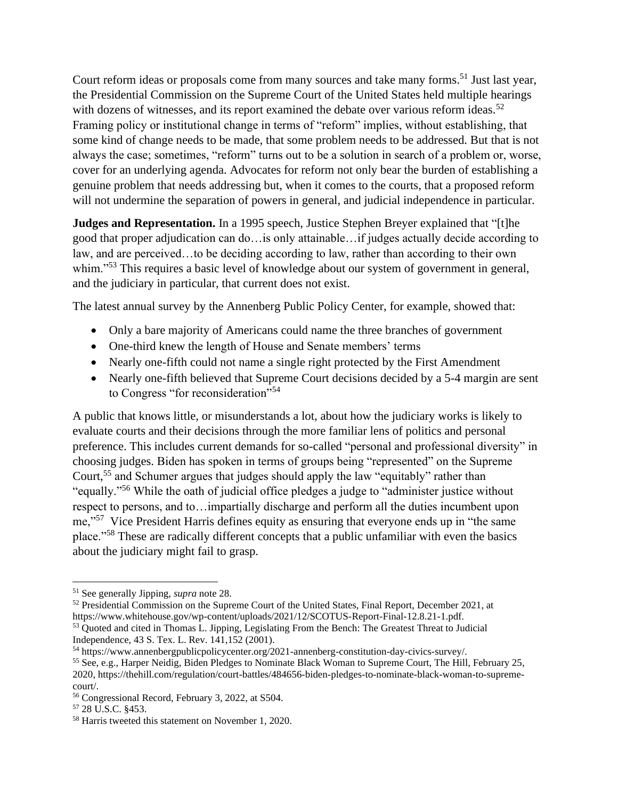Court reform ideas or proposals come from many sources and take many forms.<sup>51</sup> Just last year, the Presidential Commission on the Supreme Court of the United States held multiple hearings with dozens of witnesses, and its report examined the debate over various reform ideas.<sup>52</sup> Framing policy or institutional change in terms of "reform" implies, without establishing, that some kind of change needs to be made, that some problem needs to be addressed. But that is not always the case; sometimes, "reform" turns out to be a solution in search of a problem or, worse, cover for an underlying agenda. Advocates for reform not only bear the burden of establishing a genuine problem that needs addressing but, when it comes to the courts, that a proposed reform will not undermine the separation of powers in general, and judicial independence in particular.

**Judges and Representation.** In a 1995 speech, Justice Stephen Breyer explained that "[t]he good that proper adjudication can do…is only attainable…if judges actually decide according to law, and are perceived…to be deciding according to law, rather than according to their own whim."<sup>53</sup> This requires a basic level of knowledge about our system of government in general, and the judiciary in particular, that current does not exist.

The latest annual survey by the Annenberg Public Policy Center, for example, showed that:

- Only a bare majority of Americans could name the three branches of government
- One-third knew the length of House and Senate members' terms
- Nearly one-fifth could not name a single right protected by the First Amendment
- Nearly one-fifth believed that Supreme Court decisions decided by a 5-4 margin are sent to Congress "for reconsideration"<sup>54</sup>

A public that knows little, or misunderstands a lot, about how the judiciary works is likely to evaluate courts and their decisions through the more familiar lens of politics and personal preference. This includes current demands for so-called "personal and professional diversity" in choosing judges. Biden has spoken in terms of groups being "represented" on the Supreme Court,<sup>55</sup> and Schumer argues that judges should apply the law "equitably" rather than "equally."<sup>56</sup> While the oath of judicial office pledges a judge to "administer justice without respect to persons, and to…impartially discharge and perform all the duties incumbent upon me,"<sup>57</sup> Vice President Harris defines equity as ensuring that everyone ends up in "the same" place."<sup>58</sup> These are radically different concepts that a public unfamiliar with even the basics about the judiciary might fail to grasp.

<sup>51</sup> See generally Jipping, *supra* note 28.

<sup>&</sup>lt;sup>52</sup> Presidential Commission on the Supreme Court of the United States, Final Report, December 2021, at https://www.whitehouse.gov/wp-content/uploads/2021/12/SCOTUS-Report-Final-12.8.21-1.pdf.

<sup>53</sup> Quoted and cited in Thomas L. Jipping, Legislating From the Bench: The Greatest Threat to Judicial Independence, 43 S. Tex. L. Rev. 141,152 (2001).

<sup>54</sup> https://www.annenbergpublicpolicycenter.org/2021-annenberg-constitution-day-civics-survey/.

<sup>55</sup> See, e.g., Harper Neidig, Biden Pledges to Nominate Black Woman to Supreme Court, The Hill, February 25, 2020, https://thehill.com/regulation/court-battles/484656-biden-pledges-to-nominate-black-woman-to-supremecourt/.

<sup>56</sup> Congressional Record, February 3, 2022, at S504.

<sup>57</sup> 28 U.S.C. §453.

<sup>58</sup> Harris tweeted this statement on November 1, 2020.